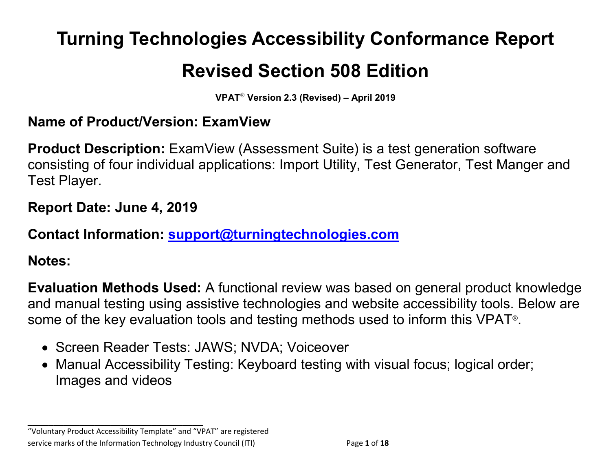# **Turning Technologies Accessibility Conformance Report**

# **Revised Section 508 Edition**

**VPAT**® **Version 2.3 (Revised) – April 2019**

#### **Name of Product/Version: ExamView**

**Product Description:** ExamView (Assessment Suite) is a test generation software consisting of four individual applications: Import Utility, Test Generator, Test Manger and Test Player.

#### **Report Date: June 4, 2019**

#### **Contact Information: [support@turningtechnologies.com](mailto:support@turningtechnologies.com)**

#### **Notes:**

**Evaluation Methods Used:** A functional review was based on general product knowledge and manual testing using assistive technologies and website accessibility tools. Below are some of the key evaluation tools and testing methods used to inform this VPAT®.

- Screen Reader Tests: JAWS; NVDA; Voiceover
- Manual Accessibility Testing: Keyboard testing with visual focus; logical order; Images and videos

"Voluntary Product Accessibility Template" and "VPAT" are registered service marks of the Information Technology Industry Council (ITI) Page **1** of **18**

**\_\_\_\_\_\_\_\_\_\_\_\_\_\_\_\_\_\_\_\_\_\_\_\_\_\_\_\_\_\_\_\_\_\_**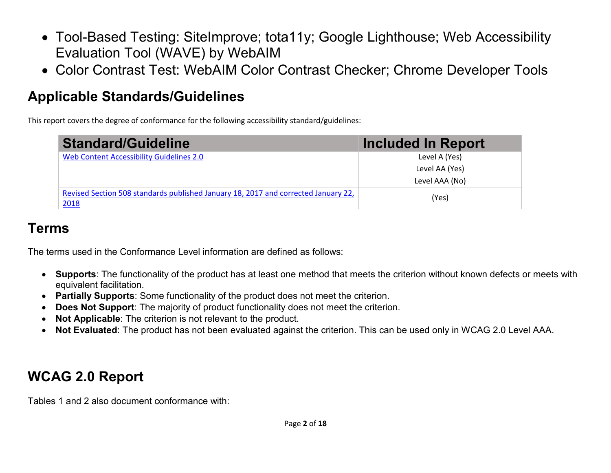- Tool-Based Testing: SiteImprove; tota11y; Google Lighthouse; Web Accessibility Evaluation Tool (WAVE) by WebAIM
- Color Contrast Test: WebAIM Color Contrast Checker; Chrome Developer Tools

## **Applicable Standards/Guidelines**

This report covers the degree of conformance for the following accessibility standard/guidelines:

| <b>Standard/Guideline</b>                                                          | Included In Report |
|------------------------------------------------------------------------------------|--------------------|
| Web Content Accessibility Guidelines 2.0                                           | Level A (Yes)      |
|                                                                                    | Level AA (Yes)     |
|                                                                                    | Level AAA (No)     |
| Revised Section 508 standards published January 18, 2017 and corrected January 22, | (Yes)              |
| 2018                                                                               |                    |

## **Terms**

The terms used in the Conformance Level information are defined as follows:

- **Supports**: The functionality of the product has at least one method that meets the criterion without known defects or meets with equivalent facilitation.
- **Partially Supports**: Some functionality of the product does not meet the criterion.
- **Does Not Support**: The majority of product functionality does not meet the criterion.
- **Not Applicable**: The criterion is not relevant to the product.
- **Not Evaluated**: The product has not been evaluated against the criterion. This can be used only in WCAG 2.0 Level AAA.

# **WCAG 2.0 Report**

Tables 1 and 2 also document conformance with: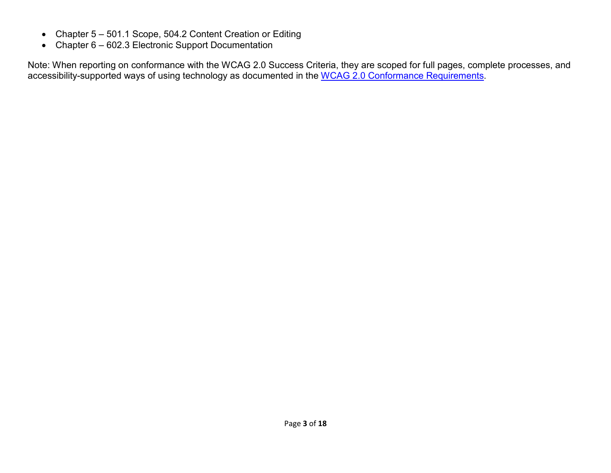- Chapter 5 501.1 Scope, 504.2 Content Creation or Editing
- Chapter 6 602.3 Electronic Support Documentation

Note: When reporting on conformance with the WCAG 2.0 Success Criteria, they are scoped for full pages, complete processes, and accessibility-supported ways of using technology as documented in the [WCAG 2.0 Conformance Requirements.](https://www.w3.org/TR/WCAG20/#conformance-reqs)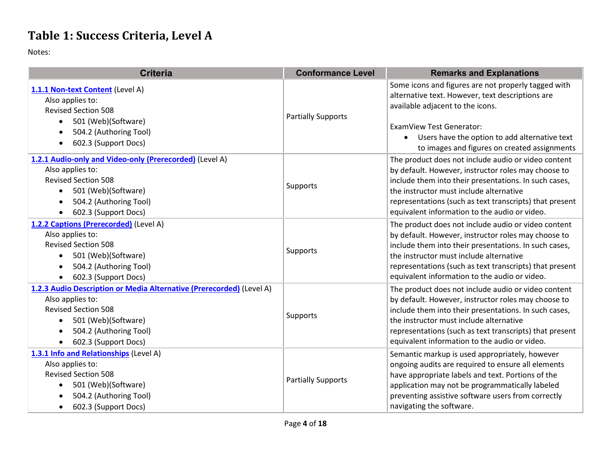#### **Table 1: Success Criteria, Level A**

| <b>Criteria</b>                                                                                                                                                                                                                        | <b>Conformance Level</b>  | <b>Remarks and Explanations</b>                                                                                                                                                                                                                                                                                            |
|----------------------------------------------------------------------------------------------------------------------------------------------------------------------------------------------------------------------------------------|---------------------------|----------------------------------------------------------------------------------------------------------------------------------------------------------------------------------------------------------------------------------------------------------------------------------------------------------------------------|
| 1.1.1 Non-text Content (Level A)<br>Also applies to:<br><b>Revised Section 508</b><br>501 (Web)(Software)<br>$\bullet$<br>504.2 (Authoring Tool)<br>$\bullet$<br>602.3 (Support Docs)<br>$\bullet$                                     | <b>Partially Supports</b> | Some icons and figures are not properly tagged with<br>alternative text. However, text descriptions are<br>available adjacent to the icons.<br><b>ExamView Test Generator:</b><br>Users have the option to add alternative text<br>$\bullet$<br>to images and figures on created assignments                               |
| 1.2.1 Audio-only and Video-only (Prerecorded) (Level A)<br>Also applies to:<br><b>Revised Section 508</b><br>501 (Web)(Software)<br>$\bullet$<br>504.2 (Authoring Tool)<br>$\bullet$<br>602.3 (Support Docs)                           | Supports                  | The product does not include audio or video content<br>by default. However, instructor roles may choose to<br>include them into their presentations. In such cases,<br>the instructor must include alternative<br>representations (such as text transcripts) that present<br>equivalent information to the audio or video. |
| 1.2.2 Captions (Prerecorded) (Level A)<br>Also applies to:<br><b>Revised Section 508</b><br>501 (Web)(Software)<br>$\bullet$<br>504.2 (Authoring Tool)<br>$\bullet$<br>602.3 (Support Docs)<br>$\bullet$                               | Supports                  | The product does not include audio or video content<br>by default. However, instructor roles may choose to<br>include them into their presentations. In such cases,<br>the instructor must include alternative<br>representations (such as text transcripts) that present<br>equivalent information to the audio or video. |
| 1.2.3 Audio Description or Media Alternative (Prerecorded) (Level A)<br>Also applies to:<br><b>Revised Section 508</b><br>501 (Web)(Software)<br>$\bullet$<br>504.2 (Authoring Tool)<br>$\bullet$<br>602.3 (Support Docs)<br>$\bullet$ | Supports                  | The product does not include audio or video content<br>by default. However, instructor roles may choose to<br>include them into their presentations. In such cases,<br>the instructor must include alternative<br>representations (such as text transcripts) that present<br>equivalent information to the audio or video. |
| 1.3.1 Info and Relationships (Level A)<br>Also applies to:<br><b>Revised Section 508</b><br>501 (Web)(Software)<br>$\bullet$<br>504.2 (Authoring Tool)<br>602.3 (Support Docs)<br>٠                                                    | <b>Partially Supports</b> | Semantic markup is used appropriately, however<br>ongoing audits are required to ensure all elements<br>have appropriate labels and text. Portions of the<br>application may not be programmatically labeled<br>preventing assistive software users from correctly<br>navigating the software.                             |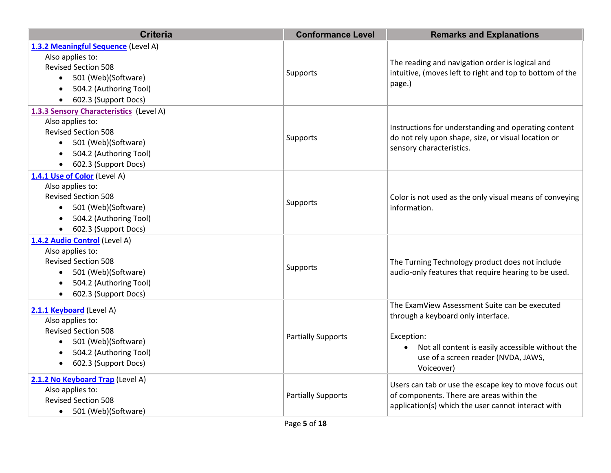| <b>Criteria</b>                                                                                                                                                                                | <b>Conformance Level</b>  | <b>Remarks and Explanations</b>                                                                                                                                                                            |
|------------------------------------------------------------------------------------------------------------------------------------------------------------------------------------------------|---------------------------|------------------------------------------------------------------------------------------------------------------------------------------------------------------------------------------------------------|
| 1.3.2 Meaningful Sequence (Level A)<br>Also applies to:<br><b>Revised Section 508</b><br>• 501 (Web)(Software)<br>504.2 (Authoring Tool)<br>$\bullet$<br>602.3 (Support Docs)                  | Supports                  | The reading and navigation order is logical and<br>intuitive, (moves left to right and top to bottom of the<br>page.)                                                                                      |
| 1.3.3 Sensory Characteristics (Level A)<br>Also applies to:<br><b>Revised Section 508</b><br>501 (Web)(Software)<br>504.2 (Authoring Tool)<br>$\bullet$<br>602.3 (Support Docs)                | Supports                  | Instructions for understanding and operating content<br>do not rely upon shape, size, or visual location or<br>sensory characteristics.                                                                    |
| 1.4.1 Use of Color (Level A)<br>Also applies to:<br><b>Revised Section 508</b><br>501 (Web)(Software)<br>$\bullet$<br>504.2 (Authoring Tool)<br>$\bullet$<br>602.3 (Support Docs)<br>$\bullet$ | Supports                  | Color is not used as the only visual means of conveying<br>information.                                                                                                                                    |
| 1.4.2 Audio Control (Level A)<br>Also applies to:<br><b>Revised Section 508</b><br>501 (Web)(Software)<br>$\bullet$<br>504.2 (Authoring Tool)<br>602.3 (Support Docs)                          | Supports                  | The Turning Technology product does not include<br>audio-only features that require hearing to be used.                                                                                                    |
| 2.1.1 Keyboard (Level A)<br>Also applies to:<br><b>Revised Section 508</b><br>501 (Web)(Software)<br>$\bullet$<br>504.2 (Authoring Tool)<br>602.3 (Support Docs)                               | <b>Partially Supports</b> | The ExamView Assessment Suite can be executed<br>through a keyboard only interface.<br>Exception:<br>Not all content is easily accessible without the<br>use of a screen reader (NVDA, JAWS,<br>Voiceover) |
| 2.1.2 No Keyboard Trap (Level A)<br>Also applies to:<br><b>Revised Section 508</b><br>501 (Web)(Software)                                                                                      | <b>Partially Supports</b> | Users can tab or use the escape key to move focus out<br>of components. There are areas within the<br>application(s) which the user cannot interact with                                                   |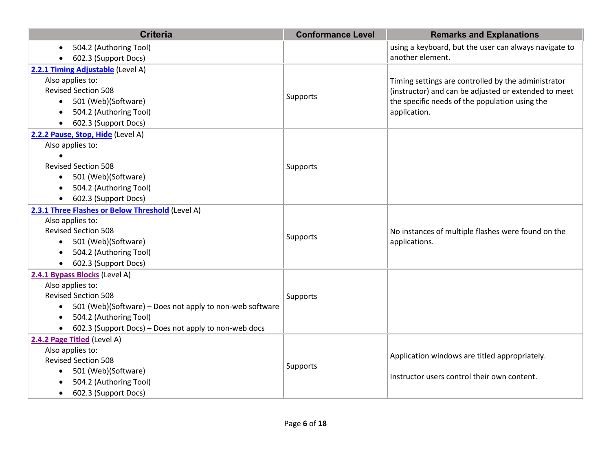| <b>Criteria</b>                                                    | <b>Conformance Level</b> | <b>Remarks and Explanations</b>                       |
|--------------------------------------------------------------------|--------------------------|-------------------------------------------------------|
| 504.2 (Authoring Tool)<br>٠                                        |                          | using a keyboard, but the user can always navigate to |
| 602.3 (Support Docs)<br>$\bullet$                                  |                          | another element.                                      |
| 2.2.1 Timing Adjustable (Level A)                                  |                          |                                                       |
| Also applies to:                                                   |                          | Timing settings are controlled by the administrator   |
| <b>Revised Section 508</b>                                         | Supports                 | (instructor) and can be adjusted or extended to meet  |
| 501 (Web)(Software)<br>$\bullet$                                   |                          | the specific needs of the population using the        |
| 504.2 (Authoring Tool)<br>$\bullet$                                |                          | application.                                          |
| 602.3 (Support Docs)<br>$\bullet$                                  |                          |                                                       |
| 2.2.2 Pause, Stop, Hide (Level A)                                  |                          |                                                       |
| Also applies to:                                                   |                          |                                                       |
|                                                                    |                          |                                                       |
| <b>Revised Section 508</b>                                         | Supports                 |                                                       |
| 501 (Web)(Software)<br>$\bullet$                                   |                          |                                                       |
| 504.2 (Authoring Tool)<br>$\bullet$                                |                          |                                                       |
| 602.3 (Support Docs)<br>$\bullet$                                  |                          |                                                       |
| 2.3.1 Three Flashes or Below Threshold (Level A)                   |                          |                                                       |
| Also applies to:                                                   |                          |                                                       |
| <b>Revised Section 508</b>                                         | Supports                 | No instances of multiple flashes were found on the    |
| 501 (Web)(Software)<br>$\bullet$                                   |                          | applications.                                         |
| 504.2 (Authoring Tool)<br>$\bullet$                                |                          |                                                       |
| 602.3 (Support Docs)<br>$\bullet$                                  |                          |                                                       |
| 2.4.1 Bypass Blocks (Level A)                                      |                          |                                                       |
| Also applies to:                                                   |                          |                                                       |
| <b>Revised Section 508</b>                                         | Supports                 |                                                       |
| 501 (Web)(Software) - Does not apply to non-web software<br>٠      |                          |                                                       |
| 504.2 (Authoring Tool)<br>$\bullet$                                |                          |                                                       |
| 602.3 (Support Docs) - Does not apply to non-web docs<br>$\bullet$ |                          |                                                       |
| 2.4.2 Page Titled (Level A)                                        |                          |                                                       |
| Also applies to:                                                   |                          | Application windows are titled appropriately.         |
| <b>Revised Section 508</b>                                         | Supports                 |                                                       |
| 501 (Web)(Software)<br>$\bullet$<br>504.2 (Authoring Tool)         |                          | Instructor users control their own content.           |
| 602.3 (Support Docs)<br>$\bullet$                                  |                          |                                                       |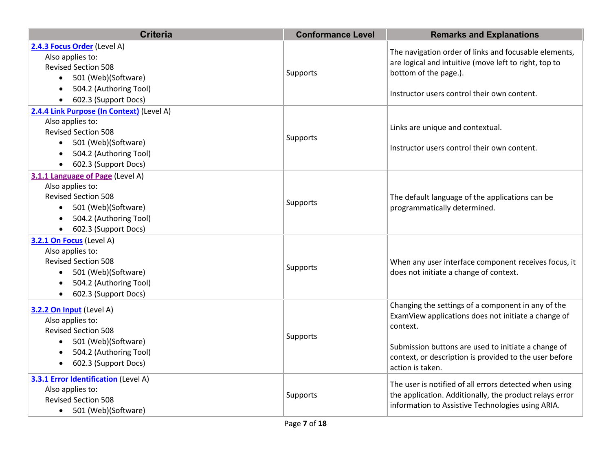| <b>Criteria</b>                                                                                                                                                                                    | <b>Conformance Level</b> | <b>Remarks and Explanations</b>                                                                                                                                                                                                                            |
|----------------------------------------------------------------------------------------------------------------------------------------------------------------------------------------------------|--------------------------|------------------------------------------------------------------------------------------------------------------------------------------------------------------------------------------------------------------------------------------------------------|
| 2.4.3 Focus Order (Level A)<br>Also applies to:<br><b>Revised Section 508</b><br>501 (Web)(Software)<br>$\bullet$<br>504.2 (Authoring Tool)<br>$\bullet$<br>602.3 (Support Docs)                   | Supports                 | The navigation order of links and focusable elements,<br>are logical and intuitive (move left to right, top to<br>bottom of the page.).<br>Instructor users control their own content.                                                                     |
| 2.4.4 Link Purpose (In Context) (Level A)<br>Also applies to:<br><b>Revised Section 508</b><br>501 (Web)(Software)<br>504.2 (Authoring Tool)<br>602.3 (Support Docs)                               | Supports                 | Links are unique and contextual.<br>Instructor users control their own content.                                                                                                                                                                            |
| 3.1.1 Language of Page (Level A)<br>Also applies to:<br><b>Revised Section 508</b><br>501 (Web)(Software)<br>$\bullet$<br>504.2 (Authoring Tool)<br>$\bullet$<br>602.3 (Support Docs)<br>$\bullet$ | Supports                 | The default language of the applications can be<br>programmatically determined.                                                                                                                                                                            |
| 3.2.1 On Focus (Level A)<br>Also applies to:<br><b>Revised Section 508</b><br>501 (Web)(Software)<br>$\bullet$<br>504.2 (Authoring Tool)<br>602.3 (Support Docs)                                   | Supports                 | When any user interface component receives focus, it<br>does not initiate a change of context.                                                                                                                                                             |
| 3.2.2 On Input (Level A)<br>Also applies to:<br><b>Revised Section 508</b><br>501 (Web)(Software)<br>$\bullet$<br>504.2 (Authoring Tool)<br>602.3 (Support Docs)                                   | Supports                 | Changing the settings of a component in any of the<br>ExamView applications does not initiate a change of<br>context.<br>Submission buttons are used to initiate a change of<br>context, or description is provided to the user before<br>action is taken. |
| <b>3.3.1 Error Identification (Level A)</b><br>Also applies to:<br><b>Revised Section 508</b><br>501 (Web)(Software)<br>$\bullet$                                                                  | Supports                 | The user is notified of all errors detected when using<br>the application. Additionally, the product relays error<br>information to Assistive Technologies using ARIA.                                                                                     |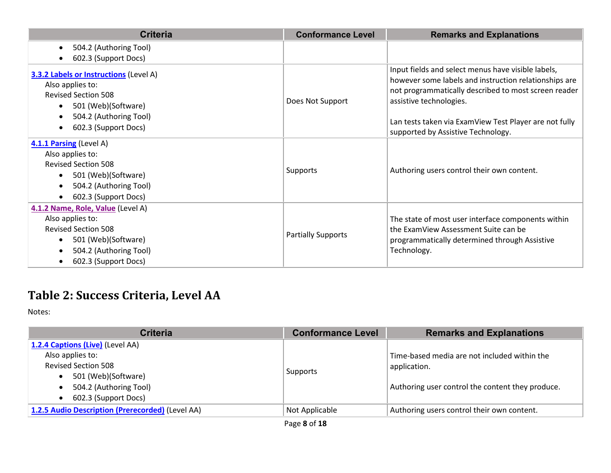| <b>Criteria</b>                                                                                                                                                                                                 | <b>Conformance Level</b>  | <b>Remarks and Explanations</b>                                                                                                                                                                                                                                                                |
|-----------------------------------------------------------------------------------------------------------------------------------------------------------------------------------------------------------------|---------------------------|------------------------------------------------------------------------------------------------------------------------------------------------------------------------------------------------------------------------------------------------------------------------------------------------|
| 504.2 (Authoring Tool)<br>$\bullet$                                                                                                                                                                             |                           |                                                                                                                                                                                                                                                                                                |
| 602.3 (Support Docs)                                                                                                                                                                                            |                           |                                                                                                                                                                                                                                                                                                |
| <b>3.3.2 Labels or Instructions (Level A)</b><br>Also applies to:<br><b>Revised Section 508</b><br>501 (Web)(Software)<br>$\bullet$<br>504.2 (Authoring Tool)<br>$\bullet$<br>602.3 (Support Docs)<br>$\bullet$ | Does Not Support          | Input fields and select menus have visible labels,<br>however some labels and instruction relationships are<br>not programmatically described to most screen reader<br>assistive technologies.<br>Lan tests taken via ExamView Test Player are not fully<br>supported by Assistive Technology. |
| 4.1.1 Parsing (Level A)<br>Also applies to:<br><b>Revised Section 508</b><br>501 (Web)(Software)<br>$\bullet$<br>504.2 (Authoring Tool)<br>$\bullet$<br>602.3 (Support Docs)                                    | <b>Supports</b>           | Authoring users control their own content.                                                                                                                                                                                                                                                     |
| 4.1.2 Name, Role, Value (Level A)<br>Also applies to:<br><b>Revised Section 508</b><br>501 (Web)(Software)<br>$\bullet$<br>504.2 (Authoring Tool)<br>602.3 (Support Docs)<br>$\bullet$                          | <b>Partially Supports</b> | The state of most user interface components within<br>the ExamView Assessment Suite can be<br>programmatically determined through Assistive<br>Technology.                                                                                                                                     |

# **Table 2: Success Criteria, Level AA**

| <b>Criteria</b>                                  | <b>Conformance Level</b> | <b>Remarks and Explanations</b>                              |
|--------------------------------------------------|--------------------------|--------------------------------------------------------------|
| 1.2.4 Captions (Live) (Level AA)                 |                          |                                                              |
| Also applies to:<br><b>Revised Section 508</b>   |                          | Time-based media are not included within the<br>application. |
| 501 (Web)(Software)                              | Supports                 |                                                              |
| 504.2 (Authoring Tool)                           |                          | Authoring user control the content they produce.             |
| 602.3 (Support Docs)<br>$\bullet$                |                          |                                                              |
| 1.2.5 Audio Description (Prerecorded) (Level AA) | Not Applicable           | Authoring users control their own content.                   |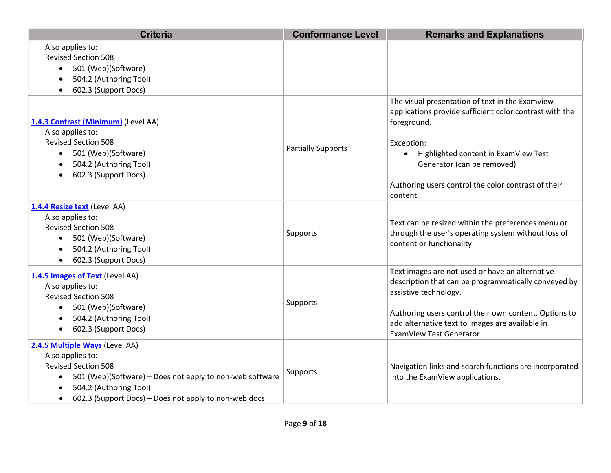| <b>Criteria</b>                                                                                                                                                                                                                                                | <b>Conformance Level</b>  | <b>Remarks and Explanations</b>                                                                                                                                                                                                                                                  |
|----------------------------------------------------------------------------------------------------------------------------------------------------------------------------------------------------------------------------------------------------------------|---------------------------|----------------------------------------------------------------------------------------------------------------------------------------------------------------------------------------------------------------------------------------------------------------------------------|
| Also applies to:<br><b>Revised Section 508</b><br>501 (Web)(Software)<br>$\bullet$<br>504.2 (Authoring Tool)<br>$\bullet$<br>602.3 (Support Docs)<br>$\bullet$                                                                                                 |                           |                                                                                                                                                                                                                                                                                  |
| 1.4.3 Contrast (Minimum) (Level AA)<br>Also applies to:<br><b>Revised Section 508</b><br>501 (Web)(Software)<br>$\bullet$<br>504.2 (Authoring Tool)<br>$\bullet$<br>602.3 (Support Docs)<br>$\bullet$                                                          | <b>Partially Supports</b> | The visual presentation of text in the Examview<br>applications provide sufficient color contrast with the<br>foreground.<br>Exception:<br>Highlighted content in ExamView Test<br>Generator (can be removed)<br>Authoring users control the color contrast of their<br>content. |
| 1.4.4 Resize text (Level AA)<br>Also applies to:<br><b>Revised Section 508</b><br>501 (Web)(Software)<br>$\bullet$<br>504.2 (Authoring Tool)<br>$\bullet$<br>602.3 (Support Docs)<br>$\bullet$                                                                 | Supports                  | Text can be resized within the preferences menu or<br>through the user's operating system without loss of<br>content or functionality.                                                                                                                                           |
| 1.4.5 Images of Text (Level AA)<br>Also applies to:<br><b>Revised Section 508</b><br>501 (Web)(Software)<br>$\bullet$<br>504.2 (Authoring Tool)<br>602.3 (Support Docs)<br>$\bullet$                                                                           | <b>Supports</b>           | Text images are not used or have an alternative<br>description that can be programmatically conveyed by<br>assistive technology.<br>Authoring users control their own content. Options to<br>add alternative text to images are available in<br>ExamView Test Generator.         |
| 2.4.5 Multiple Ways (Level AA)<br>Also applies to:<br><b>Revised Section 508</b><br>501 (Web)(Software) - Does not apply to non-web software<br>$\bullet$<br>504.2 (Authoring Tool)<br>٠<br>602.3 (Support Docs) - Does not apply to non-web docs<br>$\bullet$ | <b>Supports</b>           | Navigation links and search functions are incorporated<br>into the ExamView applications.                                                                                                                                                                                        |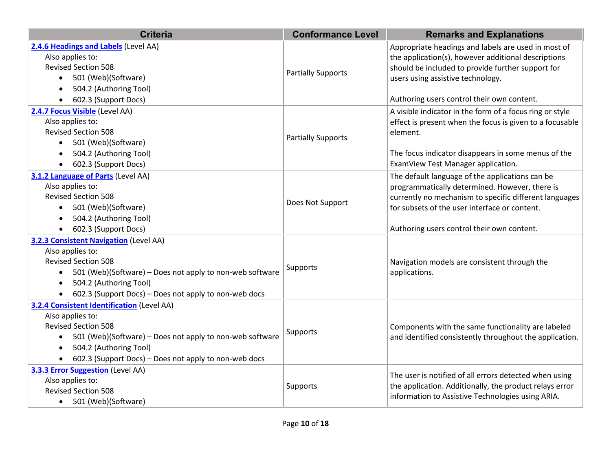| <b>Criteria</b>                                                                                                                                                                                                                                                                       | <b>Conformance Level</b>  | <b>Remarks and Explanations</b>                                                                                                                                                                                                                            |
|---------------------------------------------------------------------------------------------------------------------------------------------------------------------------------------------------------------------------------------------------------------------------------------|---------------------------|------------------------------------------------------------------------------------------------------------------------------------------------------------------------------------------------------------------------------------------------------------|
| 2.4.6 Headings and Labels (Level AA)<br>Also applies to:<br><b>Revised Section 508</b><br>501 (Web)(Software)<br>504.2 (Authoring Tool)<br>$\bullet$<br>602.3 (Support Docs)                                                                                                          | <b>Partially Supports</b> | Appropriate headings and labels are used in most of<br>the application(s), however additional descriptions<br>should be included to provide further support for<br>users using assistive technology.<br>Authoring users control their own content.         |
| 2.4.7 Focus Visible (Level AA)<br>Also applies to:<br><b>Revised Section 508</b><br>501 (Web)(Software)<br>504.2 (Authoring Tool)<br>602.3 (Support Docs)                                                                                                                             | <b>Partially Supports</b> | A visible indicator in the form of a focus ring or style<br>effect is present when the focus is given to a focusable<br>element.<br>The focus indicator disappears in some menus of the<br>ExamView Test Manager application.                              |
| 3.1.2 Language of Parts (Level AA)<br>Also applies to:<br><b>Revised Section 508</b><br>501 (Web)(Software)<br>$\bullet$<br>504.2 (Authoring Tool)<br>$\bullet$<br>602.3 (Support Docs)                                                                                               | Does Not Support          | The default language of the applications can be<br>programmatically determined. However, there is<br>currently no mechanism to specific different languages<br>for subsets of the user interface or content.<br>Authoring users control their own content. |
| <b>3.2.3 Consistent Navigation (Level AA)</b><br>Also applies to:<br><b>Revised Section 508</b><br>501 (Web)(Software) – Does not apply to non-web software<br>$\bullet$<br>504.2 (Authoring Tool)<br>$\bullet$<br>602.3 (Support Docs) - Does not apply to non-web docs<br>$\bullet$ | Supports                  | Navigation models are consistent through the<br>applications.                                                                                                                                                                                              |
| <b>3.2.4 Consistent Identification (Level AA)</b><br>Also applies to:<br><b>Revised Section 508</b><br>501 (Web)(Software) - Does not apply to non-web software<br>504.2 (Authoring Tool)<br>$\bullet$<br>602.3 (Support Docs) - Does not apply to non-web docs                       | Supports                  | Components with the same functionality are labeled<br>and identified consistently throughout the application.                                                                                                                                              |
| 3.3.3 Error Suggestion (Level AA)<br>Also applies to:<br><b>Revised Section 508</b><br>501 (Web)(Software)<br>$\bullet$                                                                                                                                                               | Supports                  | The user is notified of all errors detected when using<br>the application. Additionally, the product relays error<br>information to Assistive Technologies using ARIA.                                                                                     |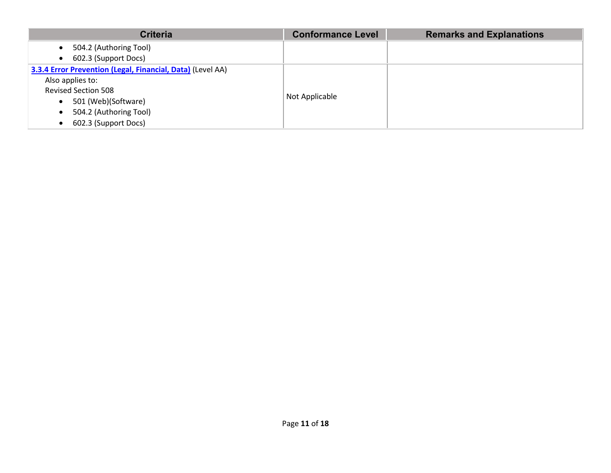| <b>Criteria</b>                                            | <b>Conformance Level</b> | <b>Remarks and Explanations</b> |
|------------------------------------------------------------|--------------------------|---------------------------------|
| 504.2 (Authoring Tool)<br>$\bullet$                        |                          |                                 |
| 602.3 (Support Docs)<br>$\bullet$                          |                          |                                 |
| 3.3.4 Error Prevention (Legal, Financial, Data) (Level AA) |                          |                                 |
| Also applies to:                                           |                          |                                 |
| <b>Revised Section 508</b>                                 | Not Applicable           |                                 |
| 501 (Web)(Software)<br>$\bullet$                           |                          |                                 |
| 504.2 (Authoring Tool)<br>$\bullet$                        |                          |                                 |
| 602.3 (Support Docs)<br>$\bullet$                          |                          |                                 |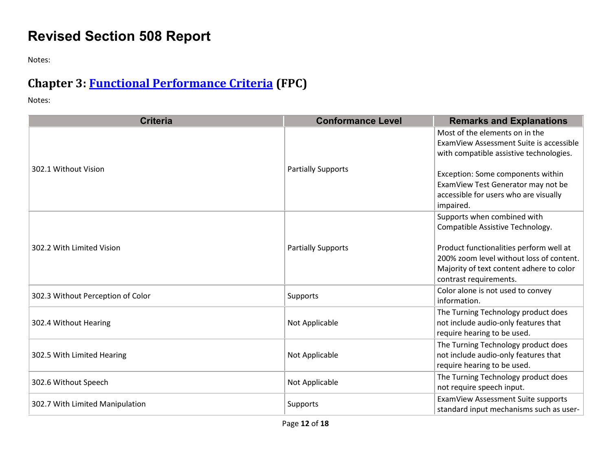## **Revised Section 508 Report**

Notes:

## **Chapter 3: [Functional Performance Criteria](https://www.access-board.gov/guidelines-and-standards/communications-and-it/about-the-ict-refresh/final-rule/text-of-the-standards-and-guidelines#302-functional-performance-criteria) (FPC)**

| <b>Criteria</b>                   | <b>Conformance Level</b>  | <b>Remarks and Explanations</b>                                                                                                                                                                                                                       |
|-----------------------------------|---------------------------|-------------------------------------------------------------------------------------------------------------------------------------------------------------------------------------------------------------------------------------------------------|
| 302.1 Without Vision              | <b>Partially Supports</b> | Most of the elements on in the<br>ExamView Assessment Suite is accessible<br>with compatible assistive technologies.<br>Exception: Some components within<br>ExamView Test Generator may not be<br>accessible for users who are visually<br>impaired. |
| 302.2 With Limited Vision         | <b>Partially Supports</b> | Supports when combined with<br>Compatible Assistive Technology.<br>Product functionalities perform well at<br>200% zoom level without loss of content.<br>Majority of text content adhere to color<br>contrast requirements.                          |
| 302.3 Without Perception of Color | Supports                  | Color alone is not used to convey<br>information.                                                                                                                                                                                                     |
| 302.4 Without Hearing             | Not Applicable            | The Turning Technology product does<br>not include audio-only features that<br>require hearing to be used.                                                                                                                                            |
| 302.5 With Limited Hearing        | Not Applicable            | The Turning Technology product does<br>not include audio-only features that<br>require hearing to be used.                                                                                                                                            |
| 302.6 Without Speech              | Not Applicable            | The Turning Technology product does<br>not require speech input.                                                                                                                                                                                      |
| 302.7 With Limited Manipulation   | Supports                  | ExamView Assessment Suite supports<br>standard input mechanisms such as user-                                                                                                                                                                         |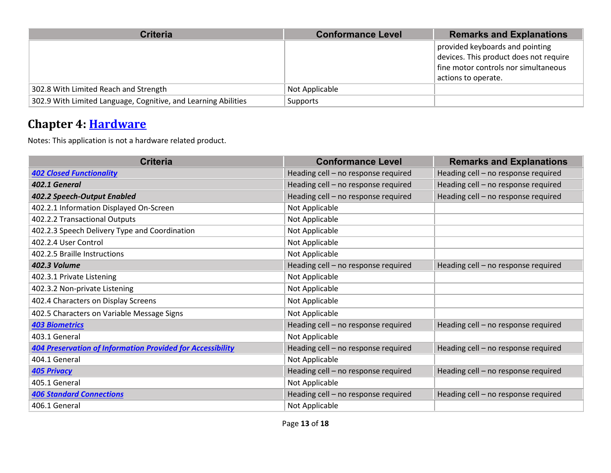| <b>Criteria</b>                                                | <b>Conformance Level</b> | <b>Remarks and Explanations</b>                                                                                                          |
|----------------------------------------------------------------|--------------------------|------------------------------------------------------------------------------------------------------------------------------------------|
|                                                                |                          | provided keyboards and pointing<br>devices. This product does not require<br>fine motor controls nor simultaneous<br>actions to operate. |
| 302.8 With Limited Reach and Strength                          | Not Applicable           |                                                                                                                                          |
| 302.9 With Limited Language, Cognitive, and Learning Abilities | Supports                 |                                                                                                                                          |

#### **Chapter 4: [Hardware](https://www.access-board.gov/guidelines-and-standards/communications-and-it/about-the-ict-refresh/final-rule/text-of-the-standards-and-guidelines#401-general)**

Notes: This application is not a hardware related product.

| <b>Criteria</b>                                                   | <b>Conformance Level</b>            | <b>Remarks and Explanations</b>     |
|-------------------------------------------------------------------|-------------------------------------|-------------------------------------|
| <b>402 Closed Functionality</b>                                   | Heading cell - no response required | Heading cell - no response required |
| 402.1 General                                                     | Heading cell - no response required | Heading cell - no response required |
| 402.2 Speech-Output Enabled                                       | Heading cell - no response required | Heading cell - no response required |
| 402.2.1 Information Displayed On-Screen                           | Not Applicable                      |                                     |
| 402.2.2 Transactional Outputs                                     | Not Applicable                      |                                     |
| 402.2.3 Speech Delivery Type and Coordination                     | Not Applicable                      |                                     |
| 402.2.4 User Control                                              | Not Applicable                      |                                     |
| 402.2.5 Braille Instructions                                      | Not Applicable                      |                                     |
| 402.3 Volume                                                      | Heading cell - no response required | Heading cell - no response required |
| 402.3.1 Private Listening                                         | Not Applicable                      |                                     |
| 402.3.2 Non-private Listening                                     | Not Applicable                      |                                     |
| 402.4 Characters on Display Screens                               | Not Applicable                      |                                     |
| 402.5 Characters on Variable Message Signs                        | Not Applicable                      |                                     |
| <b>403 Biometrics</b>                                             | Heading cell - no response required | Heading cell - no response required |
| 403.1 General                                                     | Not Applicable                      |                                     |
| <b>404 Preservation of Information Provided for Accessibility</b> | Heading cell - no response required | Heading cell - no response required |
| 404.1 General                                                     | Not Applicable                      |                                     |
| <b>405 Privacy</b>                                                | Heading cell - no response required | Heading cell - no response required |
| 405.1 General                                                     | Not Applicable                      |                                     |
| <b>406 Standard Connections</b>                                   | Heading cell - no response required | Heading cell - no response required |
| 406.1 General                                                     | Not Applicable                      |                                     |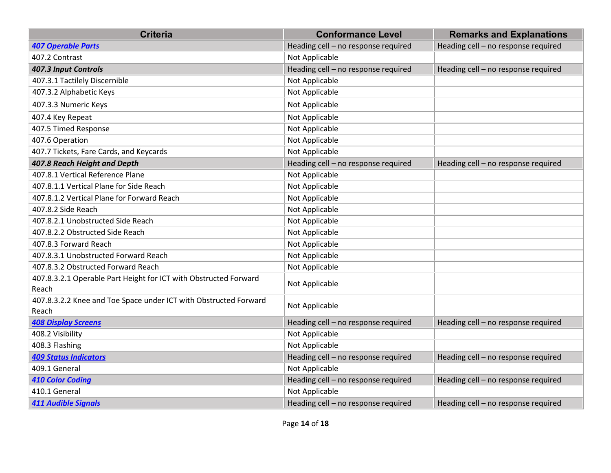| <b>Criteria</b>                                                           | <b>Conformance Level</b>            | <b>Remarks and Explanations</b>     |
|---------------------------------------------------------------------------|-------------------------------------|-------------------------------------|
| <b>407 Operable Parts</b>                                                 | Heading cell - no response required | Heading cell - no response required |
| 407.2 Contrast                                                            | Not Applicable                      |                                     |
| 407.3 Input Controls                                                      | Heading cell - no response required | Heading cell - no response required |
| 407.3.1 Tactilely Discernible                                             | Not Applicable                      |                                     |
| 407.3.2 Alphabetic Keys                                                   | Not Applicable                      |                                     |
| 407.3.3 Numeric Keys                                                      | Not Applicable                      |                                     |
| 407.4 Key Repeat                                                          | Not Applicable                      |                                     |
| 407.5 Timed Response                                                      | Not Applicable                      |                                     |
| 407.6 Operation                                                           | Not Applicable                      |                                     |
| 407.7 Tickets, Fare Cards, and Keycards                                   | Not Applicable                      |                                     |
| 407.8 Reach Height and Depth                                              | Heading cell - no response required | Heading cell - no response required |
| 407.8.1 Vertical Reference Plane                                          | Not Applicable                      |                                     |
| 407.8.1.1 Vertical Plane for Side Reach                                   | Not Applicable                      |                                     |
| 407.8.1.2 Vertical Plane for Forward Reach                                | Not Applicable                      |                                     |
| 407.8.2 Side Reach                                                        | Not Applicable                      |                                     |
| 407.8.2.1 Unobstructed Side Reach                                         | Not Applicable                      |                                     |
| 407.8.2.2 Obstructed Side Reach                                           | Not Applicable                      |                                     |
| 407.8.3 Forward Reach                                                     | Not Applicable                      |                                     |
| 407.8.3.1 Unobstructed Forward Reach                                      | Not Applicable                      |                                     |
| 407.8.3.2 Obstructed Forward Reach                                        | Not Applicable                      |                                     |
| 407.8.3.2.1 Operable Part Height for ICT with Obstructed Forward<br>Reach | Not Applicable                      |                                     |
| 407.8.3.2.2 Knee and Toe Space under ICT with Obstructed Forward<br>Reach | Not Applicable                      |                                     |
| <b>408 Display Screens</b>                                                | Heading cell - no response required | Heading cell - no response required |
| 408.2 Visibility                                                          | Not Applicable                      |                                     |
| 408.3 Flashing                                                            | Not Applicable                      |                                     |
| <b>409 Status Indicators</b>                                              | Heading cell - no response required | Heading cell - no response required |
| 409.1 General                                                             | Not Applicable                      |                                     |
| <b>410 Color Coding</b>                                                   | Heading cell - no response required | Heading cell - no response required |
| 410.1 General                                                             | Not Applicable                      |                                     |
| <b>411 Audible Signals</b>                                                | Heading cell - no response required | Heading cell - no response required |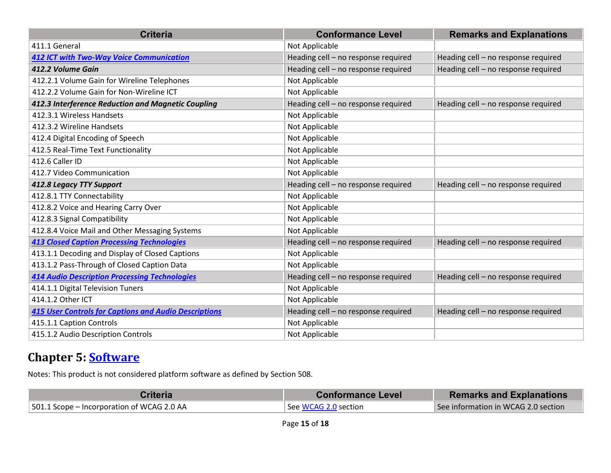| <b>Criteria</b>                                              | <b>Conformance Level</b>            | <b>Remarks and Explanations</b>     |
|--------------------------------------------------------------|-------------------------------------|-------------------------------------|
| 411.1 General                                                | Not Applicable                      |                                     |
| <b>412 ICT with Two-Way Voice Communication</b>              | Heading cell - no response required | Heading cell - no response required |
| 412.2 Volume Gain                                            | Heading cell - no response required | Heading cell - no response required |
| 412.2.1 Volume Gain for Wireline Telephones                  | Not Applicable                      |                                     |
| 412.2.2 Volume Gain for Non-Wireline ICT                     | Not Applicable                      |                                     |
| 412.3 Interference Reduction and Magnetic Coupling           | Heading cell - no response required | Heading cell - no response required |
| 412.3.1 Wireless Handsets                                    | Not Applicable                      |                                     |
| 412.3.2 Wireline Handsets                                    | Not Applicable                      |                                     |
| 412.4 Digital Encoding of Speech                             | Not Applicable                      |                                     |
| 412.5 Real-Time Text Functionality                           | Not Applicable                      |                                     |
| 412.6 Caller ID                                              | Not Applicable                      |                                     |
| 412.7 Video Communication                                    | Not Applicable                      |                                     |
| 412.8 Legacy TTY Support                                     | Heading cell - no response required | Heading cell - no response required |
| 412.8.1 TTY Connectability                                   | Not Applicable                      |                                     |
| 412.8.2 Voice and Hearing Carry Over                         | Not Applicable                      |                                     |
| 412.8.3 Signal Compatibility                                 | Not Applicable                      |                                     |
| 412.8.4 Voice Mail and Other Messaging Systems               | Not Applicable                      |                                     |
| <b>413 Closed Caption Processing Technologies</b>            | Heading cell - no response required | Heading cell - no response required |
| 413.1.1 Decoding and Display of Closed Captions              | Not Applicable                      |                                     |
| 413.1.2 Pass-Through of Closed Caption Data                  | Not Applicable                      |                                     |
| <b>414 Audio Description Processing Technologies</b>         | Heading cell - no response required | Heading cell - no response required |
| 414.1.1 Digital Television Tuners                            | Not Applicable                      |                                     |
| 414.1.2 Other ICT                                            | Not Applicable                      |                                     |
| <b>415 User Controls for Captions and Audio Descriptions</b> | Heading cell - no response required | Heading cell - no response required |
| 415.1.1 Caption Controls                                     | Not Applicable                      |                                     |
| 415.1.2 Audio Description Controls                           | Not Applicable                      |                                     |

#### **Chapter 5: [Software](https://www.access-board.gov/guidelines-and-standards/communications-and-it/about-the-ict-refresh/final-rule/text-of-the-standards-and-guidelines#501-general)**

Notes: This product is not considered platform software as defined by Section 508.

| Criteria                                           | <b>Conformance Level</b> | <b>Remarks and Explanations</b>     |
|----------------------------------------------------|--------------------------|-------------------------------------|
| $\vert$ 501.1 Scope – Incorporation of WCAG 2.0 AA | See WCAG 2.0 section     | See information in WCAG 2.0 section |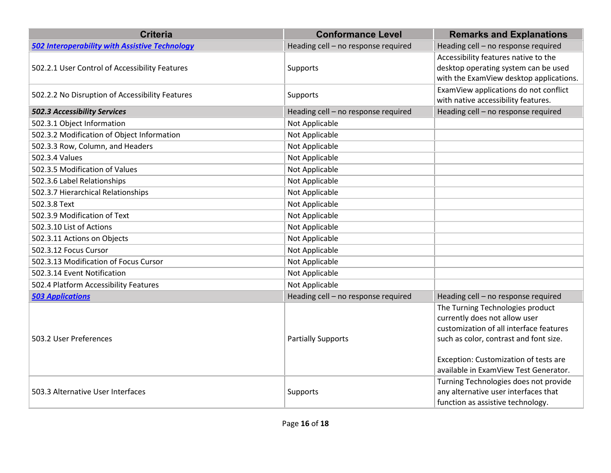| <b>Criteria</b>                                       | <b>Conformance Level</b>            | <b>Remarks and Explanations</b>                                                                                                                                                                                                          |
|-------------------------------------------------------|-------------------------------------|------------------------------------------------------------------------------------------------------------------------------------------------------------------------------------------------------------------------------------------|
| <b>502 Interoperability with Assistive Technology</b> | Heading cell - no response required | Heading cell - no response required                                                                                                                                                                                                      |
| 502.2.1 User Control of Accessibility Features        | <b>Supports</b>                     | Accessibility features native to the<br>desktop operating system can be used<br>with the ExamView desktop applications.                                                                                                                  |
| 502.2.2 No Disruption of Accessibility Features       | Supports                            | ExamView applications do not conflict<br>with native accessibility features.                                                                                                                                                             |
| 502.3 Accessibility Services                          | Heading cell - no response required | Heading cell - no response required                                                                                                                                                                                                      |
| 502.3.1 Object Information                            | Not Applicable                      |                                                                                                                                                                                                                                          |
| 502.3.2 Modification of Object Information            | Not Applicable                      |                                                                                                                                                                                                                                          |
| 502.3.3 Row, Column, and Headers                      | Not Applicable                      |                                                                                                                                                                                                                                          |
| 502.3.4 Values                                        | Not Applicable                      |                                                                                                                                                                                                                                          |
| 502.3.5 Modification of Values                        | Not Applicable                      |                                                                                                                                                                                                                                          |
| 502.3.6 Label Relationships                           | Not Applicable                      |                                                                                                                                                                                                                                          |
| 502.3.7 Hierarchical Relationships                    | Not Applicable                      |                                                                                                                                                                                                                                          |
| 502.3.8 Text                                          | Not Applicable                      |                                                                                                                                                                                                                                          |
| 502.3.9 Modification of Text                          | Not Applicable                      |                                                                                                                                                                                                                                          |
| 502.3.10 List of Actions                              | Not Applicable                      |                                                                                                                                                                                                                                          |
| 502.3.11 Actions on Objects                           | Not Applicable                      |                                                                                                                                                                                                                                          |
| 502.3.12 Focus Cursor                                 | Not Applicable                      |                                                                                                                                                                                                                                          |
| 502.3.13 Modification of Focus Cursor                 | Not Applicable                      |                                                                                                                                                                                                                                          |
| 502.3.14 Event Notification                           | Not Applicable                      |                                                                                                                                                                                                                                          |
| 502.4 Platform Accessibility Features                 | Not Applicable                      |                                                                                                                                                                                                                                          |
| <b>503 Applications</b>                               | Heading cell - no response required | Heading cell - no response required                                                                                                                                                                                                      |
| 503.2 User Preferences                                | <b>Partially Supports</b>           | The Turning Technologies product<br>currently does not allow user<br>customization of all interface features<br>such as color, contrast and font size.<br>Exception: Customization of tests are<br>available in ExamView Test Generator. |
| 503.3 Alternative User Interfaces                     | Supports                            | Turning Technologies does not provide<br>any alternative user interfaces that<br>function as assistive technology.                                                                                                                       |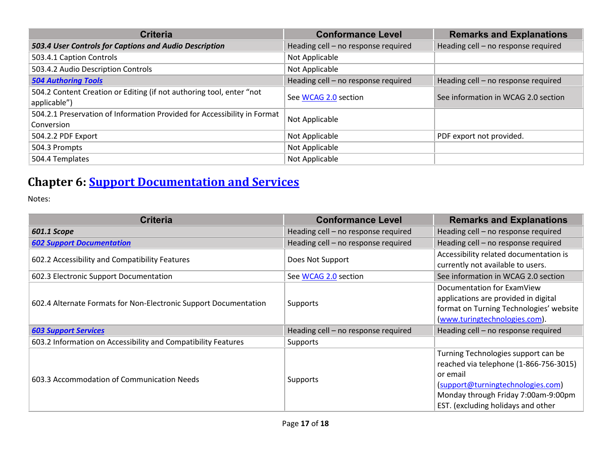| <b>Criteria</b>                                                                        | <b>Conformance Level</b>            | <b>Remarks and Explanations</b>     |
|----------------------------------------------------------------------------------------|-------------------------------------|-------------------------------------|
| 503.4 User Controls for Captions and Audio Description                                 | Heading cell - no response required | Heading cell - no response required |
| 503.4.1 Caption Controls                                                               | Not Applicable                      |                                     |
| 503.4.2 Audio Description Controls                                                     | Not Applicable                      |                                     |
| <b>504 Authoring Tools</b>                                                             | Heading cell - no response required | Heading cell - no response required |
| 504.2 Content Creation or Editing (if not authoring tool, enter "not<br>applicable")   | See WCAG 2.0 section                | See information in WCAG 2.0 section |
| 504.2.1 Preservation of Information Provided for Accessibility in Format<br>Conversion | Not Applicable                      |                                     |
| 504.2.2 PDF Export                                                                     | Not Applicable                      | PDF export not provided.            |
| 504.3 Prompts                                                                          | Not Applicable                      |                                     |
| 504.4 Templates                                                                        | Not Applicable                      |                                     |

## **Chapter 6: [Support Documentation and Services](https://www.access-board.gov/guidelines-and-standards/communications-and-it/about-the-ict-refresh/final-rule/text-of-the-standards-and-guidelines#601-general)**

| <b>Criteria</b>                                                  | <b>Conformance Level</b>            | <b>Remarks and Explanations</b>                                                                                                                                                                             |
|------------------------------------------------------------------|-------------------------------------|-------------------------------------------------------------------------------------------------------------------------------------------------------------------------------------------------------------|
| 601.1 Scope                                                      | Heading cell - no response required | Heading cell - no response required                                                                                                                                                                         |
| <b>602 Support Documentation</b>                                 | Heading cell - no response required | Heading cell – no response required                                                                                                                                                                         |
| 602.2 Accessibility and Compatibility Features                   | Does Not Support                    | Accessibility related documentation is<br>currently not available to users.                                                                                                                                 |
| 602.3 Electronic Support Documentation                           | See WCAG 2.0 section                | See information in WCAG 2.0 section                                                                                                                                                                         |
| 602.4 Alternate Formats for Non-Electronic Support Documentation | <b>Supports</b>                     | Documentation for ExamView<br>applications are provided in digital<br>format on Turning Technologies' website<br>(www.turingtechnologies.com).                                                              |
| <b>603 Support Services</b>                                      | Heading cell - no response required | Heading cell - no response required                                                                                                                                                                         |
| 603.2 Information on Accessibility and Compatibility Features    | <b>Supports</b>                     |                                                                                                                                                                                                             |
| 603.3 Accommodation of Communication Needs                       | Supports                            | Turning Technologies support can be<br>reached via telephone (1-866-756-3015)<br>or email<br>(support@turningtechnologies.com)<br>Monday through Friday 7:00am-9:00pm<br>EST. (excluding holidays and other |